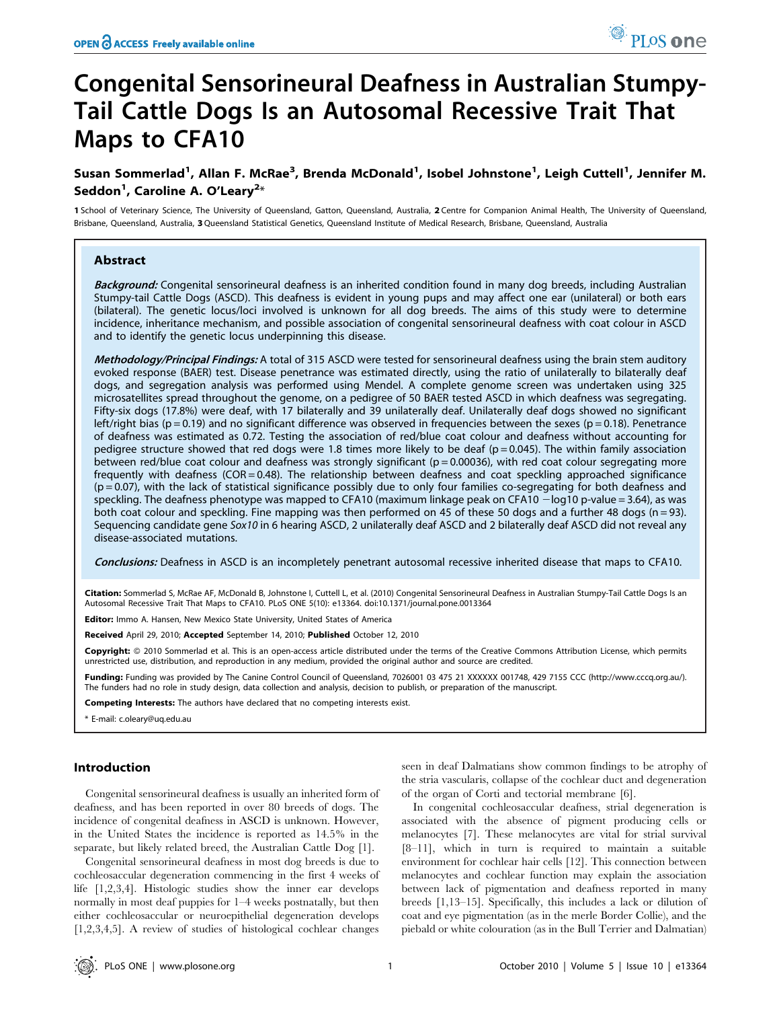# Congenital Sensorineural Deafness in Australian Stumpy-Tail Cattle Dogs Is an Autosomal Recessive Trait That Maps to CFA10

Susan Sommerlad<sup>1</sup>, Allan F. McRae<sup>3</sup>, Brenda McDonald<sup>1</sup>, Isobel Johnstone<sup>1</sup>, Leigh Cuttell<sup>1</sup>, Jennifer M. Seddon<sup>1</sup>, Caroline A. O'Leary<sup>2</sup>\*

1 School of Veterinary Science, The University of Queensland, Gatton, Queensland, Australia, 2 Centre for Companion Animal Health, The University of Queensland, Brisbane, Queensland, Australia, 3Queensland Statistical Genetics, Queensland Institute of Medical Research, Brisbane, Queensland, Australia

# Abstract

Background: Congenital sensorineural deafness is an inherited condition found in many dog breeds, including Australian Stumpy-tail Cattle Dogs (ASCD). This deafness is evident in young pups and may affect one ear (unilateral) or both ears (bilateral). The genetic locus/loci involved is unknown for all dog breeds. The aims of this study were to determine incidence, inheritance mechanism, and possible association of congenital sensorineural deafness with coat colour in ASCD and to identify the genetic locus underpinning this disease.

Methodology/Principal Findings: A total of 315 ASCD were tested for sensorineural deafness using the brain stem auditory evoked response (BAER) test. Disease penetrance was estimated directly, using the ratio of unilaterally to bilaterally deaf dogs, and segregation analysis was performed using Mendel. A complete genome screen was undertaken using 325 microsatellites spread throughout the genome, on a pedigree of 50 BAER tested ASCD in which deafness was segregating. Fifty-six dogs (17.8%) were deaf, with 17 bilaterally and 39 unilaterally deaf. Unilaterally deaf dogs showed no significant left/right bias ( $p = 0.19$ ) and no significant difference was observed in frequencies between the sexes ( $p = 0.18$ ). Penetrance of deafness was estimated as 0.72. Testing the association of red/blue coat colour and deafness without accounting for pedigree structure showed that red dogs were 1.8 times more likely to be deaf ( $p = 0.045$ ). The within family association between red/blue coat colour and deafness was strongly significant (p = 0.00036), with red coat colour segregating more frequently with deafness (COR = 0.48). The relationship between deafness and coat speckling approached significance  $(p = 0.07)$ , with the lack of statistical significance possibly due to only four families co-segregating for both deafness and speckling. The deafness phenotype was mapped to CFA10 (maximum linkage peak on CFA10 - log10 p-value = 3.64), as was both coat colour and speckling. Fine mapping was then performed on 45 of these 50 dogs and a further 48 dogs (n = 93). Sequencing candidate gene Sox10 in 6 hearing ASCD, 2 unilaterally deaf ASCD and 2 bilaterally deaf ASCD did not reveal any disease-associated mutations.

Conclusions: Deafness in ASCD is an incompletely penetrant autosomal recessive inherited disease that maps to CFA10.

Citation: Sommerlad S, McRae AF, McDonald B, Johnstone I, Cuttell L, et al. (2010) Congenital Sensorineural Deafness in Australian Stumpy-Tail Cattle Dogs Is an Autosomal Recessive Trait That Maps to CFA10. PLoS ONE 5(10): e13364. doi:10.1371/journal.pone.0013364

Editor: Immo A. Hansen, New Mexico State University, United States of America

Received April 29, 2010; Accepted September 14, 2010; Published October 12, 2010

Copyright: © 2010 Sommerlad et al. This is an open-access article distributed under the terms of the Creative Commons Attribution License, which permits unrestricted use, distribution, and reproduction in any medium, provided the original author and source are credited.

Funding: Funding was provided by The Canine Control Council of Queensland, 7026001 03 475 21 XXXXXX 001748, 429 7155 CCC (http://www.cccq.org.au/). The funders had no role in study design, data collection and analysis, decision to publish, or preparation of the manuscript.

Competing Interests: The authors have declared that no competing interests exist.

\* E-mail: c.oleary@uq.edu.au

# Introduction

Congenital sensorineural deafness is usually an inherited form of deafness, and has been reported in over 80 breeds of dogs. The incidence of congenital deafness in ASCD is unknown. However, in the United States the incidence is reported as 14.5% in the separate, but likely related breed, the Australian Cattle Dog [1].

Congenital sensorineural deafness in most dog breeds is due to cochleosaccular degeneration commencing in the first 4 weeks of life [1,2,3,4]. Histologic studies show the inner ear develops normally in most deaf puppies for 1–4 weeks postnatally, but then either cochleosaccular or neuroepithelial degeneration develops [1,2,3,4,5]. A review of studies of histological cochlear changes

seen in deaf Dalmatians show common findings to be atrophy of the stria vascularis, collapse of the cochlear duct and degeneration of the organ of Corti and tectorial membrane [6].

In congenital cochleosaccular deafness, strial degeneration is associated with the absence of pigment producing cells or melanocytes [7]. These melanocytes are vital for strial survival [8–11], which in turn is required to maintain a suitable environment for cochlear hair cells [12]. This connection between melanocytes and cochlear function may explain the association between lack of pigmentation and deafness reported in many breeds [1,13–15]. Specifically, this includes a lack or dilution of coat and eye pigmentation (as in the merle Border Collie), and the piebald or white colouration (as in the Bull Terrier and Dalmatian)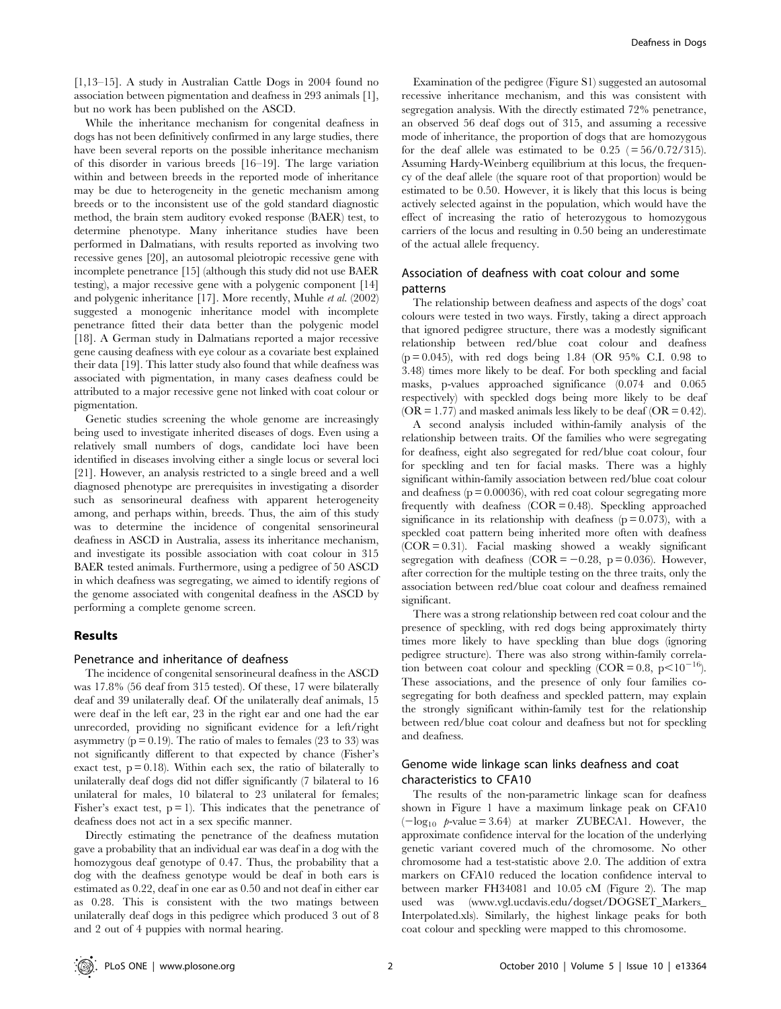[1,13–15]. A study in Australian Cattle Dogs in 2004 found no association between pigmentation and deafness in 293 animals [1], but no work has been published on the ASCD.

While the inheritance mechanism for congenital deafness in dogs has not been definitively confirmed in any large studies, there have been several reports on the possible inheritance mechanism of this disorder in various breeds [16–19]. The large variation within and between breeds in the reported mode of inheritance may be due to heterogeneity in the genetic mechanism among breeds or to the inconsistent use of the gold standard diagnostic method, the brain stem auditory evoked response (BAER) test, to determine phenotype. Many inheritance studies have been performed in Dalmatians, with results reported as involving two recessive genes [20], an autosomal pleiotropic recessive gene with incomplete penetrance [15] (although this study did not use BAER testing), a major recessive gene with a polygenic component [14] and polygenic inheritance [17]. More recently, Muhle et al. (2002) suggested a monogenic inheritance model with incomplete penetrance fitted their data better than the polygenic model [18]. A German study in Dalmatians reported a major recessive gene causing deafness with eye colour as a covariate best explained their data [19]. This latter study also found that while deafness was associated with pigmentation, in many cases deafness could be attributed to a major recessive gene not linked with coat colour or pigmentation.

Genetic studies screening the whole genome are increasingly being used to investigate inherited diseases of dogs. Even using a relatively small numbers of dogs, candidate loci have been identified in diseases involving either a single locus or several loci [21]. However, an analysis restricted to a single breed and a well diagnosed phenotype are prerequisites in investigating a disorder such as sensorineural deafness with apparent heterogeneity among, and perhaps within, breeds. Thus, the aim of this study was to determine the incidence of congenital sensorineural deafness in ASCD in Australia, assess its inheritance mechanism, and investigate its possible association with coat colour in 315 BAER tested animals. Furthermore, using a pedigree of 50 ASCD in which deafness was segregating, we aimed to identify regions of the genome associated with congenital deafness in the ASCD by performing a complete genome screen.

# Results

#### Penetrance and inheritance of deafness

The incidence of congenital sensorineural deafness in the ASCD was 17.8% (56 deaf from 315 tested). Of these, 17 were bilaterally deaf and 39 unilaterally deaf. Of the unilaterally deaf animals, 15 were deaf in the left ear, 23 in the right ear and one had the ear unrecorded, providing no significant evidence for a left/right asymmetry ( $p = 0.19$ ). The ratio of males to females (23 to 33) was not significantly different to that expected by chance (Fisher's exact test,  $p = 0.18$ ). Within each sex, the ratio of bilaterally to unilaterally deaf dogs did not differ significantly (7 bilateral to 16 unilateral for males, 10 bilateral to 23 unilateral for females; Fisher's exact test,  $p = 1$ ). This indicates that the penetrance of deafness does not act in a sex specific manner.

Directly estimating the penetrance of the deafness mutation gave a probability that an individual ear was deaf in a dog with the homozygous deaf genotype of 0.47. Thus, the probability that a dog with the deafness genotype would be deaf in both ears is estimated as 0.22, deaf in one ear as 0.50 and not deaf in either ear as 0.28. This is consistent with the two matings between unilaterally deaf dogs in this pedigree which produced 3 out of 8 and 2 out of 4 puppies with normal hearing.

Examination of the pedigree (Figure S1) suggested an autosomal recessive inheritance mechanism, and this was consistent with segregation analysis. With the directly estimated 72% penetrance, an observed 56 deaf dogs out of 315, and assuming a recessive mode of inheritance, the proportion of dogs that are homozygous for the deaf allele was estimated to be  $0.25$  ( $= 56/0.72/315$ ). Assuming Hardy-Weinberg equilibrium at this locus, the frequency of the deaf allele (the square root of that proportion) would be estimated to be 0.50. However, it is likely that this locus is being actively selected against in the population, which would have the effect of increasing the ratio of heterozygous to homozygous carriers of the locus and resulting in 0.50 being an underestimate of the actual allele frequency.

# Association of deafness with coat colour and some patterns

The relationship between deafness and aspects of the dogs' coat colours were tested in two ways. Firstly, taking a direct approach that ignored pedigree structure, there was a modestly significant relationship between red/blue coat colour and deafness  $(p = 0.045)$ , with red dogs being 1.84 (OR 95% C.I. 0.98 to 3.48) times more likely to be deaf. For both speckling and facial masks, p-values approached significance (0.074 and 0.065 respectively) with speckled dogs being more likely to be deaf  $(OR = 1.77)$  and masked animals less likely to be deaf  $(OR = 0.42)$ .

A second analysis included within-family analysis of the relationship between traits. Of the families who were segregating for deafness, eight also segregated for red/blue coat colour, four for speckling and ten for facial masks. There was a highly significant within-family association between red/blue coat colour and deafness  $(p = 0.00036)$ , with red coat colour segregating more frequently with deafness  $(COR = 0.48)$ . Speckling approached significance in its relationship with deafness  $(p = 0.073)$ , with a speckled coat pattern being inherited more often with deafness  $(COR = 0.31)$ . Facial masking showed a weakly significant segregation with deafness (COR =  $-0.28$ , p = 0.036). However, after correction for the multiple testing on the three traits, only the association between red/blue coat colour and deafness remained significant.

There was a strong relationship between red coat colour and the presence of speckling, with red dogs being approximately thirty times more likely to have speckling than blue dogs (ignoring pedigree structure). There was also strong within-family correlation between coat colour and speckling  $(COR = 0.8, p < 10^{-16})$ . These associations, and the presence of only four families cosegregating for both deafness and speckled pattern, may explain the strongly significant within-family test for the relationship between red/blue coat colour and deafness but not for speckling and deafness.

# Genome wide linkage scan links deafness and coat characteristics to CFA10

The results of the non-parametric linkage scan for deafness shown in Figure 1 have a maximum linkage peak on CFA10  $(-\log_{10} \rho$ -value = 3.64) at marker ZUBECA1. However, the approximate confidence interval for the location of the underlying genetic variant covered much of the chromosome. No other chromosome had a test-statistic above 2.0. The addition of extra markers on CFA10 reduced the location confidence interval to between marker FH34081 and 10.05 cM (Figure 2). The map used was (www.vgl.ucdavis.edu/dogset/DOGSET\_Markers\_ Interpolated.xls). Similarly, the highest linkage peaks for both coat colour and speckling were mapped to this chromosome.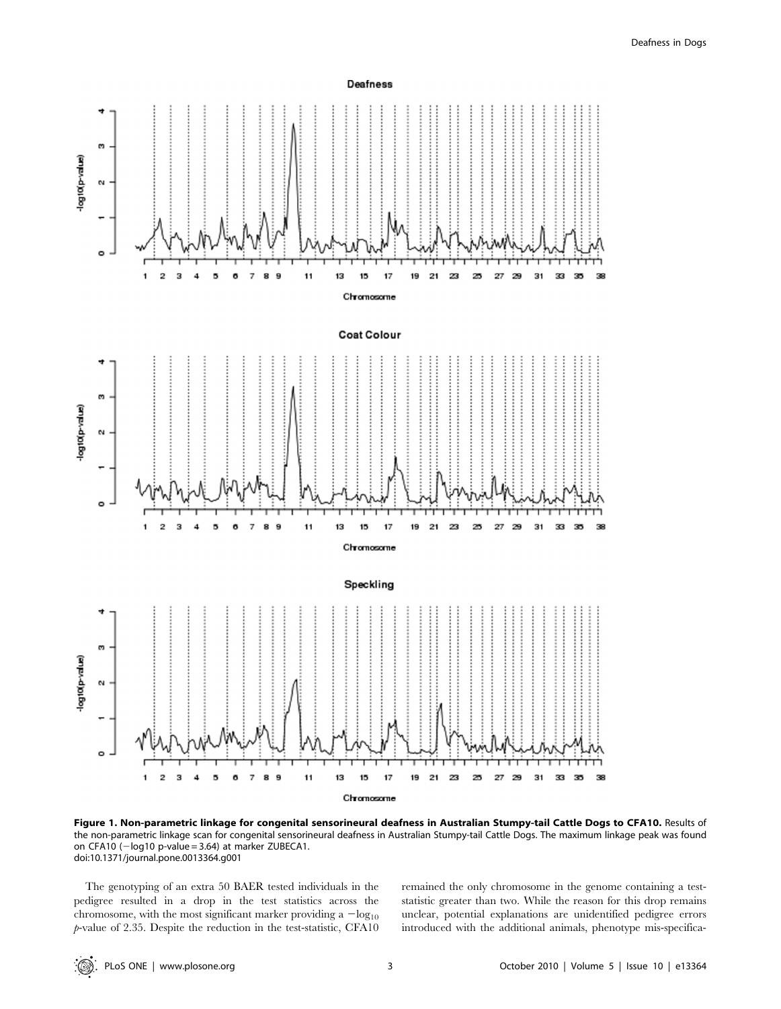

Figure 1. Non-parametric linkage for congenital sensorineural deafness in Australian Stumpy-tail Cattle Dogs to CFA10. Results of the non-parametric linkage scan for congenital sensorineural deafness in Australian Stumpy-tail Cattle Dogs. The maximum linkage peak was found on CFA10 ( $-\log 10$  p-value = 3.64) at marker ZUBECA1. doi:10.1371/journal.pone.0013364.g001

The genotyping of an extra 50 BAER tested individuals in the pedigree resulted in a drop in the test statistics across the chromosome, with the most significant marker providing a  $-\log_{10}$ p-value of 2.35. Despite the reduction in the test-statistic, CFA10 remained the only chromosome in the genome containing a teststatistic greater than two. While the reason for this drop remains unclear, potential explanations are unidentified pedigree errors introduced with the additional animals, phenotype mis-specifica-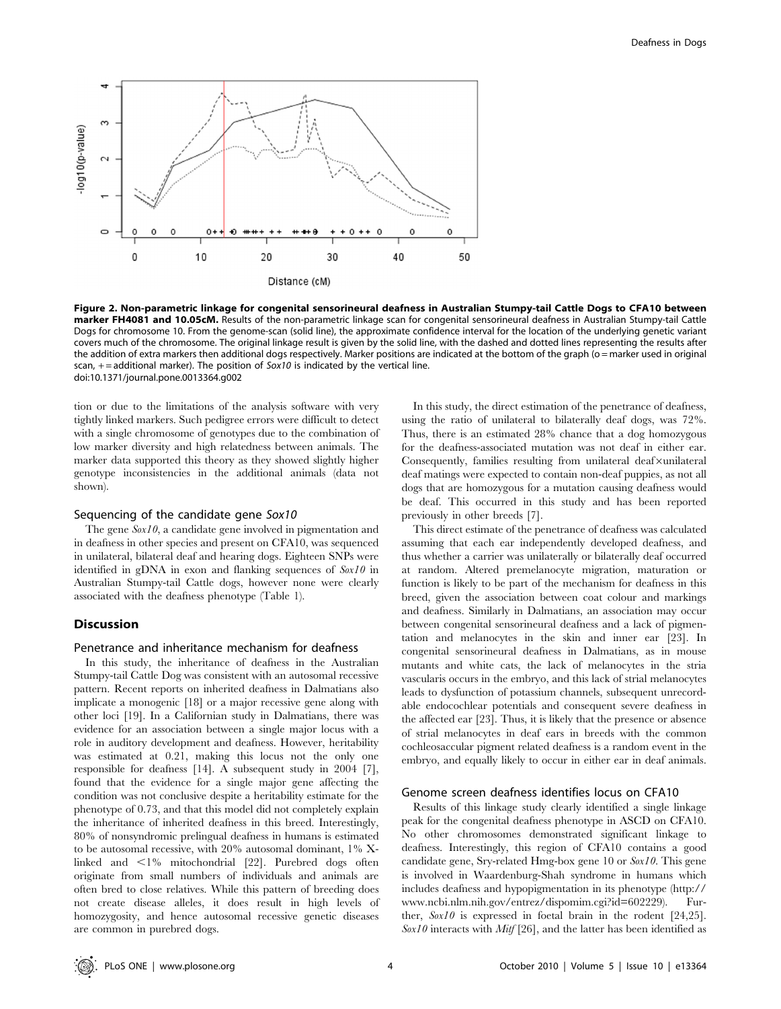

Figure 2. Non-parametric linkage for congenital sensorineural deafness in Australian Stumpy-tail Cattle Dogs to CFA10 between marker FH4081 and 10.05cM. Results of the non-parametric linkage scan for congenital sensorineural deafness in Australian Stumpy-tail Cattle Dogs for chromosome 10. From the genome-scan (solid line), the approximate confidence interval for the location of the underlying genetic variant covers much of the chromosome. The original linkage result is given by the solid line, with the dashed and dotted lines representing the results after the addition of extra markers then additional dogs respectively. Marker positions are indicated at the bottom of the graph (o = marker used in original scan,  $+$  = additional marker). The position of Sox10 is indicated by the vertical line. doi:10.1371/journal.pone.0013364.g002

tion or due to the limitations of the analysis software with very tightly linked markers. Such pedigree errors were difficult to detect with a single chromosome of genotypes due to the combination of low marker diversity and high relatedness between animals. The marker data supported this theory as they showed slightly higher genotype inconsistencies in the additional animals (data not shown).

# Sequencing of the candidate gene Sox10

The gene  $Sox10$ , a candidate gene involved in pigmentation and in deafness in other species and present on CFA10, was sequenced in unilateral, bilateral deaf and hearing dogs. Eighteen SNPs were identified in gDNA in exon and flanking sequences of  $Sox10$  in Australian Stumpy-tail Cattle dogs, however none were clearly associated with the deafness phenotype (Table 1).

# Discussion

#### Penetrance and inheritance mechanism for deafness

In this study, the inheritance of deafness in the Australian Stumpy-tail Cattle Dog was consistent with an autosomal recessive pattern. Recent reports on inherited deafness in Dalmatians also implicate a monogenic [18] or a major recessive gene along with other loci [19]. In a Californian study in Dalmatians, there was evidence for an association between a single major locus with a role in auditory development and deafness. However, heritability was estimated at 0.21, making this locus not the only one responsible for deafness [14]. A subsequent study in 2004 [7], found that the evidence for a single major gene affecting the condition was not conclusive despite a heritability estimate for the phenotype of 0.73, and that this model did not completely explain the inheritance of inherited deafness in this breed. Interestingly, 80% of nonsyndromic prelingual deafness in humans is estimated to be autosomal recessive, with 20% autosomal dominant, 1% Xlinked and  $\leq 1\%$  mitochondrial [22]. Purebred dogs often originate from small numbers of individuals and animals are often bred to close relatives. While this pattern of breeding does not create disease alleles, it does result in high levels of homozygosity, and hence autosomal recessive genetic diseases are common in purebred dogs.

In this study, the direct estimation of the penetrance of deafness, using the ratio of unilateral to bilaterally deaf dogs, was 72%. Thus, there is an estimated 28% chance that a dog homozygous for the deafness-associated mutation was not deaf in either ear. Consequently, families resulting from unilateral deaf×unilateral deaf matings were expected to contain non-deaf puppies, as not all dogs that are homozygous for a mutation causing deafness would be deaf. This occurred in this study and has been reported previously in other breeds [7].

This direct estimate of the penetrance of deafness was calculated assuming that each ear independently developed deafness, and thus whether a carrier was unilaterally or bilaterally deaf occurred at random. Altered premelanocyte migration, maturation or function is likely to be part of the mechanism for deafness in this breed, given the association between coat colour and markings and deafness. Similarly in Dalmatians, an association may occur between congenital sensorineural deafness and a lack of pigmentation and melanocytes in the skin and inner ear [23]. In congenital sensorineural deafness in Dalmatians, as in mouse mutants and white cats, the lack of melanocytes in the stria vascularis occurs in the embryo, and this lack of strial melanocytes leads to dysfunction of potassium channels, subsequent unrecordable endocochlear potentials and consequent severe deafness in the affected ear [23]. Thus, it is likely that the presence or absence of strial melanocytes in deaf ears in breeds with the common cochleosaccular pigment related deafness is a random event in the embryo, and equally likely to occur in either ear in deaf animals.

#### Genome screen deafness identifies locus on CFA10

Results of this linkage study clearly identified a single linkage peak for the congenital deafness phenotype in ASCD on CFA10. No other chromosomes demonstrated significant linkage to deafness. Interestingly, this region of CFA10 contains a good candidate gene, Sry-related Hmg-box gene 10 or Sox10. This gene is involved in Waardenburg-Shah syndrome in humans which includes deafness and hypopigmentation in its phenotype (http:// www.ncbi.nlm.nih.gov/entrez/dispomim.cgi?id=602229). Further,  $Sox10$  is expressed in foetal brain in the rodent [24,25].  $Sox10$  interacts with Mitf [26], and the latter has been identified as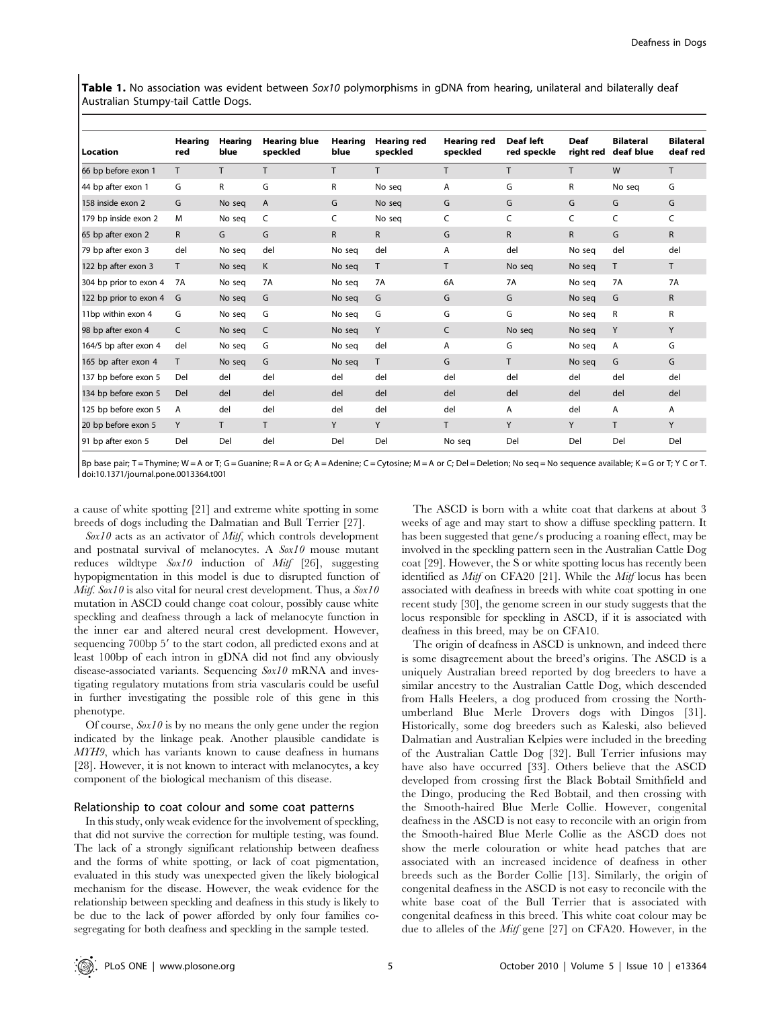Table 1. No association was evident between Sox10 polymorphisms in qDNA from hearing, unilateral and bilaterally deaf Australian Stumpy-tail Cattle Dogs.

| Location               | Hearing<br>red | Hearing<br>blue | <b>Hearing blue</b><br>speckled | Hearing<br>blue | <b>Hearing red</b><br>speckled | Hearing red<br>speckled | Deaf left<br>red speckle | <b>Deaf</b><br>right red | <b>Bilateral</b><br>deaf blue | <b>Bilateral</b><br>deaf red |
|------------------------|----------------|-----------------|---------------------------------|-----------------|--------------------------------|-------------------------|--------------------------|--------------------------|-------------------------------|------------------------------|
| 66 bp before exon 1    | T.             | T.              | T.                              | T.              | T.                             | T                       | T.                       | T.                       | W                             | T                            |
| 44 bp after exon 1     | G              | R               | G                               | R               | No sea                         | A                       | G                        | R                        | No seg                        | G                            |
| 158 inside exon 2      | G              | No seq          | A                               | G               | No seg                         | G                       | G                        | G                        | G                             | G                            |
| 179 bp inside exon 2   | M              | No seg          | C                               | C               | No seq                         | C                       | C                        | C                        | C                             | C                            |
| 65 bp after exon 2     | $\mathsf{R}$   | G               | G                               | $\mathsf{R}$    | $\mathsf{R}$                   | G                       | $\mathsf{R}$             | $\mathsf{R}$             | G                             | R                            |
| 79 bp after exon 3     | del            | No seq          | del                             | No seg          | del                            | A                       | del                      | No seq                   | del                           | del                          |
| 122 bp after exon 3    | T.             | No seq          | K                               | No seq          | T.                             | T.                      | No seg                   | No seq                   | T.                            | T.                           |
| 304 bp prior to exon 4 | <b>7A</b>      | No seg          | <b>7A</b>                       | No seg          | <b>7A</b>                      | 6A                      | <b>7A</b>                | No seg                   | <b>7A</b>                     | <b>7A</b>                    |
| 122 bp prior to exon 4 | G              | No seg          | G                               | No seg          | G                              | G                       | G                        | No seg                   | G                             | $\mathsf{R}$                 |
| 11bp within exon 4     | G              | No seq          | G                               | No sea          | G                              | G                       | G                        | No sea                   | R                             | R                            |
| 98 bp after exon 4     | C              | No seg          | C                               | No seg          | Y                              | C                       | No seg                   | No seq                   | Y                             | Y                            |
| 164/5 bp after exon 4  | del            | No seg          | G                               | No seg          | del                            | A                       | G                        | No seg                   | A                             | G                            |
| 165 bp after exon 4    | T              | No seq          | G                               | No seq          | T                              | G                       | T.                       | No seq                   | G                             | G                            |
| 137 bp before exon 5   | Del            | del             | del                             | del             | del                            | del                     | del                      | del                      | del                           | del                          |
| 134 bp before exon 5   | Del            | del             | del                             | del             | del                            | del                     | del                      | del                      | del                           | del                          |
| 125 bp before exon 5   | A              | del             | del                             | del             | del                            | del                     | A                        | del                      | A                             | A                            |
| 20 bp before exon 5    | Y              | T.              | T.                              | Y               | Y                              | T.                      | Y                        | Y                        | T.                            | Y                            |
| 91 bp after exon 5     | Del            | Del             | del                             | Del             | Del                            | No seg                  | Del                      | Del                      | Del                           | Del                          |

Bp base pair; T = Thymine; W = A or T; G = Guanine; R = A or G; A = Adenine; C = Cytosine; M = A or C; Del = Deletion; No seq = No sequence available; K = G or T; Y C or T. doi:10.1371/journal.pone.0013364.t001

a cause of white spotting [21] and extreme white spotting in some breeds of dogs including the Dalmatian and Bull Terrier [27].

 $Sox10$  acts as an activator of *Mitf*, which controls development and postnatal survival of melanocytes. A  $Sox10$  mouse mutant reduces wildtype  $Sox10$  induction of *Mitf* [26], suggesting hypopigmentation in this model is due to disrupted function of *Mitf.* Sox10 is also vital for neural crest development. Thus, a  $Sox10$ mutation in ASCD could change coat colour, possibly cause white speckling and deafness through a lack of melanocyte function in the inner ear and altered neural crest development. However, sequencing 700bp 5' to the start codon, all predicted exons and at least 100bp of each intron in gDNA did not find any obviously disease-associated variants. Sequencing  $S(x)$  mRNA and investigating regulatory mutations from stria vascularis could be useful in further investigating the possible role of this gene in this phenotype.

Of course,  $S(x)$  is by no means the only gene under the region indicated by the linkage peak. Another plausible candidate is MYH9, which has variants known to cause deafness in humans [28]. However, it is not known to interact with melanocytes, a key component of the biological mechanism of this disease.

#### Relationship to coat colour and some coat patterns

In this study, only weak evidence for the involvement of speckling, that did not survive the correction for multiple testing, was found. The lack of a strongly significant relationship between deafness and the forms of white spotting, or lack of coat pigmentation, evaluated in this study was unexpected given the likely biological mechanism for the disease. However, the weak evidence for the relationship between speckling and deafness in this study is likely to be due to the lack of power afforded by only four families cosegregating for both deafness and speckling in the sample tested.

The ASCD is born with a white coat that darkens at about 3 weeks of age and may start to show a diffuse speckling pattern. It has been suggested that gene/s producing a roaning effect, may be involved in the speckling pattern seen in the Australian Cattle Dog coat [29]. However, the S or white spotting locus has recently been identified as Mitf on CFA20 [21]. While the Mitf locus has been associated with deafness in breeds with white coat spotting in one recent study [30], the genome screen in our study suggests that the locus responsible for speckling in ASCD, if it is associated with deafness in this breed, may be on CFA10.

The origin of deafness in ASCD is unknown, and indeed there is some disagreement about the breed's origins. The ASCD is a uniquely Australian breed reported by dog breeders to have a similar ancestry to the Australian Cattle Dog, which descended from Halls Heelers, a dog produced from crossing the Northumberland Blue Merle Drovers dogs with Dingos [31]. Historically, some dog breeders such as Kaleski, also believed Dalmatian and Australian Kelpies were included in the breeding of the Australian Cattle Dog [32]. Bull Terrier infusions may have also have occurred [33]. Others believe that the ASCD developed from crossing first the Black Bobtail Smithfield and the Dingo, producing the Red Bobtail, and then crossing with the Smooth-haired Blue Merle Collie. However, congenital deafness in the ASCD is not easy to reconcile with an origin from the Smooth-haired Blue Merle Collie as the ASCD does not show the merle colouration or white head patches that are associated with an increased incidence of deafness in other breeds such as the Border Collie [13]. Similarly, the origin of congenital deafness in the ASCD is not easy to reconcile with the white base coat of the Bull Terrier that is associated with congenital deafness in this breed. This white coat colour may be due to alleles of the *Mitf* gene [27] on CFA20. However, in the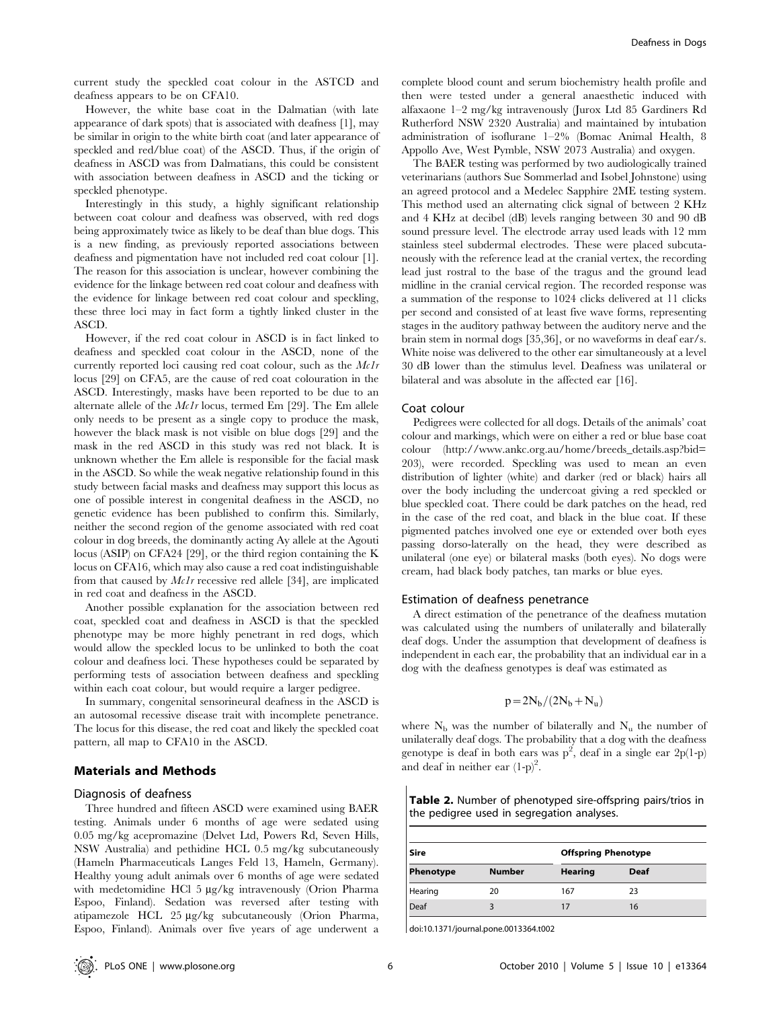current study the speckled coat colour in the ASTCD and deafness appears to be on CFA10.

However, the white base coat in the Dalmatian (with late appearance of dark spots) that is associated with deafness [1], may be similar in origin to the white birth coat (and later appearance of speckled and red/blue coat) of the ASCD. Thus, if the origin of deafness in ASCD was from Dalmatians, this could be consistent with association between deafness in ASCD and the ticking or speckled phenotype.

Interestingly in this study, a highly significant relationship between coat colour and deafness was observed, with red dogs being approximately twice as likely to be deaf than blue dogs. This is a new finding, as previously reported associations between deafness and pigmentation have not included red coat colour [1]. The reason for this association is unclear, however combining the evidence for the linkage between red coat colour and deafness with the evidence for linkage between red coat colour and speckling, these three loci may in fact form a tightly linked cluster in the ASCD.

However, if the red coat colour in ASCD is in fact linked to deafness and speckled coat colour in the ASCD, none of the currently reported loci causing red coat colour, such as the Mc1r locus [29] on CFA5, are the cause of red coat colouration in the ASCD. Interestingly, masks have been reported to be due to an alternate allele of the Mc1r locus, termed Em [29]. The Em allele only needs to be present as a single copy to produce the mask, however the black mask is not visible on blue dogs [29] and the mask in the red ASCD in this study was red not black. It is unknown whether the Em allele is responsible for the facial mask in the ASCD. So while the weak negative relationship found in this study between facial masks and deafness may support this locus as one of possible interest in congenital deafness in the ASCD, no genetic evidence has been published to confirm this. Similarly, neither the second region of the genome associated with red coat colour in dog breeds, the dominantly acting Ay allele at the Agouti locus (ASIP) on CFA24 [29], or the third region containing the K locus on CFA16, which may also cause a red coat indistinguishable from that caused by Mc1r recessive red allele [34], are implicated in red coat and deafness in the ASCD.

Another possible explanation for the association between red coat, speckled coat and deafness in ASCD is that the speckled phenotype may be more highly penetrant in red dogs, which would allow the speckled locus to be unlinked to both the coat colour and deafness loci. These hypotheses could be separated by performing tests of association between deafness and speckling within each coat colour, but would require a larger pedigree.

In summary, congenital sensorineural deafness in the ASCD is an autosomal recessive disease trait with incomplete penetrance. The locus for this disease, the red coat and likely the speckled coat pattern, all map to CFA10 in the ASCD.

# Materials and Methods

# Diagnosis of deafness

Three hundred and fifteen ASCD were examined using BAER testing. Animals under 6 months of age were sedated using 0.05 mg/kg acepromazine (Delvet Ltd, Powers Rd, Seven Hills, NSW Australia) and pethidine HCL 0.5 mg/kg subcutaneously (Hameln Pharmaceuticals Langes Feld 13, Hameln, Germany). Healthy young adult animals over 6 months of age were sedated with medetomidine HCl 5 µg/kg intravenously (Orion Pharma Espoo, Finland). Sedation was reversed after testing with atipamezole HCL 25 µg/kg subcutaneously (Orion Pharma, Espoo, Finland). Animals over five years of age underwent a complete blood count and serum biochemistry health profile and then were tested under a general anaesthetic induced with alfaxaone 1–2 mg/kg intravenously (Jurox Ltd 85 Gardiners Rd Rutherford NSW 2320 Australia) and maintained by intubation administration of isoflurane 1–2% (Bomac Animal Health, 8 Appollo Ave, West Pymble, NSW 2073 Australia) and oxygen.

The BAER testing was performed by two audiologically trained veterinarians (authors Sue Sommerlad and Isobel Johnstone) using an agreed protocol and a Medelec Sapphire 2ME testing system. This method used an alternating click signal of between 2 KHz and 4 KHz at decibel (dB) levels ranging between 30 and 90 dB sound pressure level. The electrode array used leads with 12 mm stainless steel subdermal electrodes. These were placed subcutaneously with the reference lead at the cranial vertex, the recording lead just rostral to the base of the tragus and the ground lead midline in the cranial cervical region. The recorded response was a summation of the response to 1024 clicks delivered at 11 clicks per second and consisted of at least five wave forms, representing stages in the auditory pathway between the auditory nerve and the brain stem in normal dogs [35,36], or no waveforms in deaf ear/s. White noise was delivered to the other ear simultaneously at a level 30 dB lower than the stimulus level. Deafness was unilateral or bilateral and was absolute in the affected ear [16].

#### Coat colour

Pedigrees were collected for all dogs. Details of the animals' coat colour and markings, which were on either a red or blue base coat colour (http://www.ankc.org.au/home/breeds\_details.asp?bid= 203), were recorded. Speckling was used to mean an even distribution of lighter (white) and darker (red or black) hairs all over the body including the undercoat giving a red speckled or blue speckled coat. There could be dark patches on the head, red in the case of the red coat, and black in the blue coat. If these pigmented patches involved one eye or extended over both eyes passing dorso-laterally on the head, they were described as unilateral (one eye) or bilateral masks (both eyes). No dogs were cream, had black body patches, tan marks or blue eyes.

#### Estimation of deafness penetrance

A direct estimation of the penetrance of the deafness mutation was calculated using the numbers of unilaterally and bilaterally deaf dogs. Under the assumption that development of deafness is independent in each ear, the probability that an individual ear in a dog with the deafness genotypes is deaf was estimated as

$$
p = 2N_b/(2N_b + N_u)
$$

where  $N_b$  was the number of bilaterally and  $N_u$  the number of unilaterally deaf dogs. The probability that a dog with the deafness genotype is deaf in both ears was  $p^2$ , deaf in a single ear 2p(1-p) and deaf in neither ear  $(1-p)^2$ .

|                                            | <b>Table 2.</b> Number of phenotyped sire-offspring pairs/trios in |  |
|--------------------------------------------|--------------------------------------------------------------------|--|
| the pedigree used in segregation analyses. |                                                                    |  |

| Sire           |               | <b>Offspring Phenotype</b> |      |  |
|----------------|---------------|----------------------------|------|--|
| Phenotype      | <b>Number</b> | <b>Hearing</b>             | Deaf |  |
| <b>Hearing</b> | 20            | 167                        | 23   |  |
| Deaf           |               |                            | 16   |  |

doi:10.1371/journal.pone.0013364.t002

 $\mathbf{I}$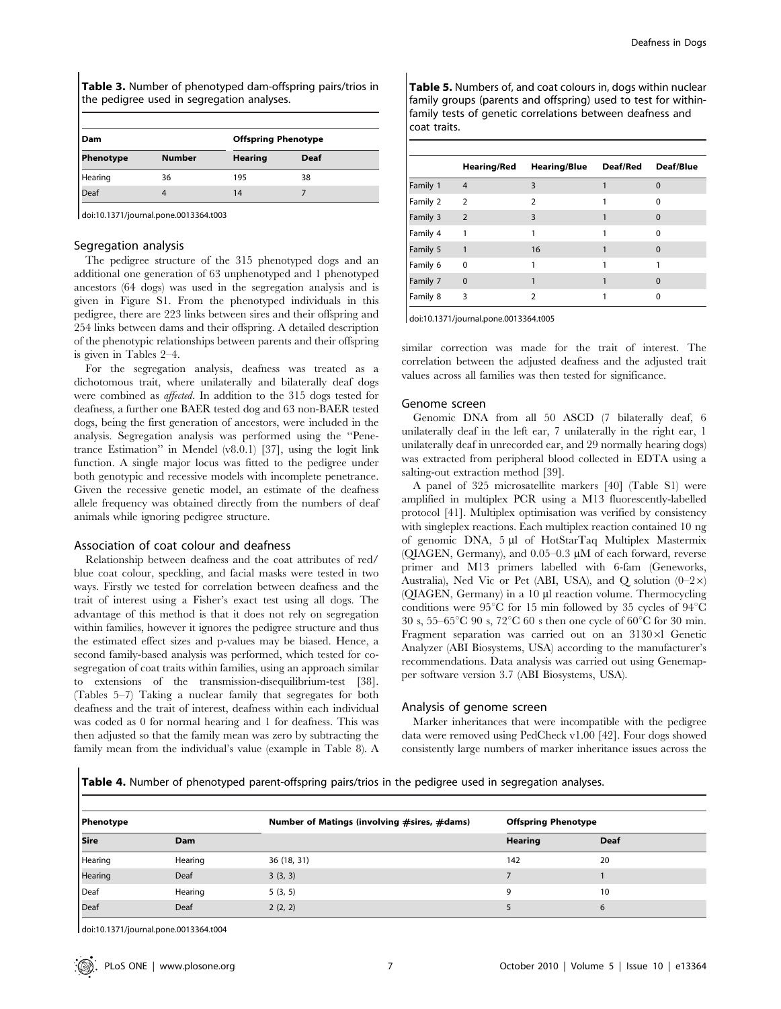Table 3. Number of phenotyped dam-offspring pairs/trios in the pedigree used in segregation analyses.

| Dam       |               | <b>Offspring Phenotype</b> |             |  |
|-----------|---------------|----------------------------|-------------|--|
| Phenotype | <b>Number</b> | <b>Hearing</b>             | <b>Deaf</b> |  |
| Hearing   | 36            | 195                        | 38          |  |
| Deaf      |               | 14                         |             |  |

doi:10.1371/journal.pone.0013364.t003

#### Segregation analysis

The pedigree structure of the 315 phenotyped dogs and an additional one generation of 63 unphenotyped and 1 phenotyped ancestors (64 dogs) was used in the segregation analysis and is given in Figure S1. From the phenotyped individuals in this pedigree, there are 223 links between sires and their offspring and 254 links between dams and their offspring. A detailed description of the phenotypic relationships between parents and their offspring is given in Tables 2–4.

For the segregation analysis, deafness was treated as a dichotomous trait, where unilaterally and bilaterally deaf dogs were combined as affected. In addition to the 315 dogs tested for deafness, a further one BAER tested dog and 63 non-BAER tested dogs, being the first generation of ancestors, were included in the analysis. Segregation analysis was performed using the ''Penetrance Estimation'' in Mendel (v8.0.1) [37], using the logit link function. A single major locus was fitted to the pedigree under both genotypic and recessive models with incomplete penetrance. Given the recessive genetic model, an estimate of the deafness allele frequency was obtained directly from the numbers of deaf animals while ignoring pedigree structure.

# Association of coat colour and deafness

Relationship between deafness and the coat attributes of red/ blue coat colour, speckling, and facial masks were tested in two ways. Firstly we tested for correlation between deafness and the trait of interest using a Fisher's exact test using all dogs. The advantage of this method is that it does not rely on segregation within families, however it ignores the pedigree structure and thus the estimated effect sizes and p-values may be biased. Hence, a second family-based analysis was performed, which tested for cosegregation of coat traits within families, using an approach similar to extensions of the transmission-disequilibrium-test [38]. (Tables 5–7) Taking a nuclear family that segregates for both deafness and the trait of interest, deafness within each individual was coded as 0 for normal hearing and 1 for deafness. This was then adjusted so that the family mean was zero by subtracting the family mean from the individual's value (example in Table 8). A

Table 5. Numbers of, and coat colours in, dogs within nuclear family groups (parents and offspring) used to test for withinfamily tests of genetic correlations between deafness and coat traits.

|          | Hearing/Red    | <b>Hearing/Blue</b> | Deaf/Red | Deaf/Blue |
|----------|----------------|---------------------|----------|-----------|
| Family 1 | $\overline{4}$ | 3                   |          | $\Omega$  |
| Family 2 | $\overline{2}$ | C                   |          | $\Omega$  |
| Family 3 | 2              | 3                   |          | $\Omega$  |
| Family 4 | 1              | 1                   |          | $\Omega$  |
| Family 5 | 1              | 16                  |          | $\Omega$  |
| Family 6 | $\Omega$       | 1                   |          |           |
| Family 7 | $\Omega$       |                     |          | $\Omega$  |
| Family 8 | 3              | 2                   |          | ŋ         |

doi:10.1371/journal.pone.0013364.t005

similar correction was made for the trait of interest. The correlation between the adjusted deafness and the adjusted trait values across all families was then tested for significance.

#### Genome screen

Genomic DNA from all 50 ASCD (7 bilaterally deaf, 6 unilaterally deaf in the left ear, 7 unilaterally in the right ear, 1 unilaterally deaf in unrecorded ear, and 29 normally hearing dogs) was extracted from peripheral blood collected in EDTA using a salting-out extraction method [39].

A panel of 325 microsatellite markers [40] (Table S1) were amplified in multiplex PCR using a M13 fluorescently-labelled protocol [41]. Multiplex optimisation was verified by consistency with singleplex reactions. Each multiplex reaction contained 10 ng of genomic DNA, 5 µl of HotStarTaq Multiplex Mastermix (QIAGEN, Germany), and  $0.05-0.3 \mu M$  of each forward, reverse primer and M13 primers labelled with 6-fam (Geneworks, Australia), Ned Vic or Pet (ABI, USA), and Q solution  $(0-2\times)$  $(OIAGEN, Germany)$  in a 10  $µI$  reaction volume. Thermocycling conditions were 95 $\degree$ C for 15 min followed by 35 cycles of 94 $\degree$ C 30 s,  $55-65^{\circ}$ C 90 s,  $72^{\circ}$ C 60 s then one cycle of 60<sup>o</sup>C for 30 min. Fragment separation was carried out on an  $3130\times1$  Genetic Analyzer (ABI Biosystems, USA) according to the manufacturer's recommendations. Data analysis was carried out using Genemapper software version 3.7 (ABI Biosystems, USA).

# Analysis of genome screen

Marker inheritances that were incompatible with the pedigree data were removed using PedCheck v1.00 [42]. Four dogs showed consistently large numbers of marker inheritance issues across the

Table 4. Number of phenotyped parent-offspring pairs/trios in the pedigree used in segregation analyses.

| Phenotype |         | Number of Matings (involving #sires, #dams) | <b>Offspring Phenotype</b> |      |
|-----------|---------|---------------------------------------------|----------------------------|------|
| Sire      | Dam     |                                             | Hearing                    | Deaf |
| Hearing   | Hearing | 36 (18, 31)                                 | 142                        | 20   |
| Hearing   | Deaf    | 3(3, 3)                                     |                            |      |
| Deaf      | Hearing | 5(3, 5)                                     |                            | 10   |
| Deaf      | Deaf    | 2(2, 2)                                     |                            | 6    |

doi:10.1371/journal.pone.0013364.t004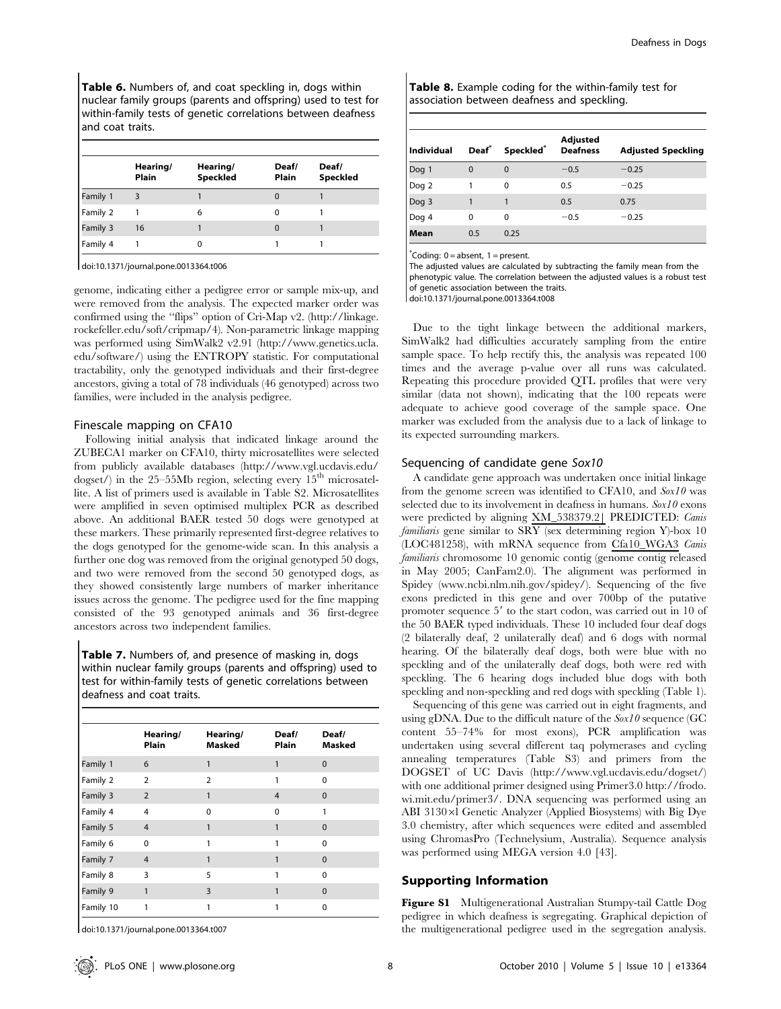Table 6. Numbers of, and coat speckling in, dogs within nuclear family groups (parents and offspring) used to test for within-family tests of genetic correlations between deafness and coat traits.

|          | Hearing/<br>Plain | Hearing/<br>Speckled | Deaf/<br>Plain | Deaf/<br>Speckled |
|----------|-------------------|----------------------|----------------|-------------------|
| Family 1 |                   |                      |                |                   |
| Family 2 |                   | 6                    | o              |                   |
| Family 3 | 16                |                      | $\Omega$       |                   |
| Family 4 |                   |                      |                |                   |

doi:10.1371/journal.pone.0013364.t006

genome, indicating either a pedigree error or sample mix-up, and were removed from the analysis. The expected marker order was confirmed using the ''flips'' option of Cri-Map v2. (http://linkage. rockefeller.edu/soft/cripmap/4). Non-parametric linkage mapping was performed using SimWalk2 v2.91 (http://www.genetics.ucla. edu/software/) using the ENTROPY statistic. For computational tractability, only the genotyped individuals and their first-degree ancestors, giving a total of 78 individuals (46 genotyped) across two families, were included in the analysis pedigree.

#### Finescale mapping on CFA10

Following initial analysis that indicated linkage around the ZUBECA1 marker on CFA10, thirty microsatellites were selected from publicly available databases (http://www.vgl.ucdavis.edu/ dogset/) in the 25–55Mb region, selecting every  $15<sup>th</sup>$  microsatellite. A list of primers used is available in Table S2. Microsatellites were amplified in seven optimised multiplex PCR as described above. An additional BAER tested 50 dogs were genotyped at these markers. These primarily represented first-degree relatives to the dogs genotyped for the genome-wide scan. In this analysis a further one dog was removed from the original genotyped 50 dogs, and two were removed from the second 50 genotyped dogs, as they showed consistently large numbers of marker inheritance issues across the genome. The pedigree used for the fine mapping consisted of the 93 genotyped animals and 36 first-degree ancestors across two independent families.

Table 7. Numbers of, and presence of masking in, dogs within nuclear family groups (parents and offspring) used to test for within-family tests of genetic correlations between deafness and coat traits.

|           | Hearing/<br>Plain | Hearing/<br><b>Masked</b> | Deaf/<br>Plain | Deaf/<br><b>Masked</b> |
|-----------|-------------------|---------------------------|----------------|------------------------|
| Family 1  | 6                 |                           |                | $\Omega$               |
| Family 2  | $\overline{2}$    | $\overline{2}$            |                | $\Omega$               |
| Family 3  | $\overline{2}$    | 1                         | $\overline{4}$ | $\Omega$               |
| Family 4  | $\overline{4}$    | $\Omega$                  | $\Omega$       | 1                      |
| Family 5  | $\overline{4}$    | 1                         | 1              | $\Omega$               |
| Family 6  | $\Omega$          |                           | 1              | 0                      |
| Family 7  | $\overline{4}$    | 1                         | 1              | $\Omega$               |
| Family 8  | 3                 | 5                         |                | $\Omega$               |
| Family 9  | 1                 | 3                         |                | $\Omega$               |
| Family 10 |                   |                           |                | ი                      |

doi:10.1371/journal.pone.0013364.t007

Table 8. Example coding for the within-family test for association between deafness and speckling.

| <b>Individual</b> | Deaf®    | Speckled <sup>®</sup> | Adjusted<br><b>Deafness</b> | <b>Adjusted Speckling</b> |
|-------------------|----------|-----------------------|-----------------------------|---------------------------|
| Dog 1             | $\Omega$ | $\Omega$              | $-0.5$                      | $-0.25$                   |
| Dog 2             |          | $\Omega$              | 0.5                         | $-0.25$                   |
| Dog 3             |          |                       | 0.5                         | 0.75                      |
| Dog 4             | 0        | $\Omega$              | $-0.5$                      | $-0.25$                   |
| Mean              | 0.5      | 0.25                  |                             |                           |

\* Coding: 0 = absent, 1 = present.

The adjusted values are calculated by subtracting the family mean from the phenotypic value. The correlation between the adjusted values is a robust test of genetic association between the traits. doi:10.1371/journal.pone.0013364.t008

Due to the tight linkage between the additional markers, SimWalk2 had difficulties accurately sampling from the entire sample space. To help rectify this, the analysis was repeated 100 times and the average p-value over all runs was calculated. Repeating this procedure provided QTL profiles that were very similar (data not shown), indicating that the 100 repeats were adequate to achieve good coverage of the sample space. One marker was excluded from the analysis due to a lack of linkage to its expected surrounding markers.

#### Sequencing of candidate gene Sox10

A candidate gene approach was undertaken once initial linkage from the genome screen was identified to CFA10, and Sox10 was selected due to its involvement in deafness in humans.  $S(x10)$  exons were predicted by aligning XM\_538379.2| PREDICTED: Canis familiaris gene similar to SRY (sex determining region Y)-box 10 (LOC481258), with mRNA sequence from Cfa10\_WGA3 Canis familiaris chromosome 10 genomic contig (genome contig released in May 2005; CanFam2.0). The alignment was performed in Spidey (www.ncbi.nlm.nih.gov/spidey/). Sequencing of the five exons predicted in this gene and over 700bp of the putative promoter sequence 5' to the start codon, was carried out in 10 of the 50 BAER typed individuals. These 10 included four deaf dogs (2 bilaterally deaf, 2 unilaterally deaf) and 6 dogs with normal hearing. Of the bilaterally deaf dogs, both were blue with no speckling and of the unilaterally deaf dogs, both were red with speckling. The 6 hearing dogs included blue dogs with both speckling and non-speckling and red dogs with speckling (Table 1).

Sequencing of this gene was carried out in eight fragments, and using gDNA. Due to the difficult nature of the  $Sox10$  sequence (GC content 55–74% for most exons), PCR amplification was undertaken using several different taq polymerases and cycling annealing temperatures (Table S3) and primers from the DOGSET of UC Davis (http://www.vgl.ucdavis.edu/dogset/) with one additional primer designed using Primer3.0 http://frodo. wi.mit.edu/primer3/. DNA sequencing was performed using an ABI  $3130\times$ l Genetic Analyzer (Applied Biosystems) with Big Dye 3.0 chemistry, after which sequences were edited and assembled using ChromasPro (Technelysium, Australia). Sequence analysis was performed using MEGA version 4.0 [43].

## Supporting Information

Figure S1 Multigenerational Australian Stumpy-tail Cattle Dog pedigree in which deafness is segregating. Graphical depiction of the multigenerational pedigree used in the segregation analysis.